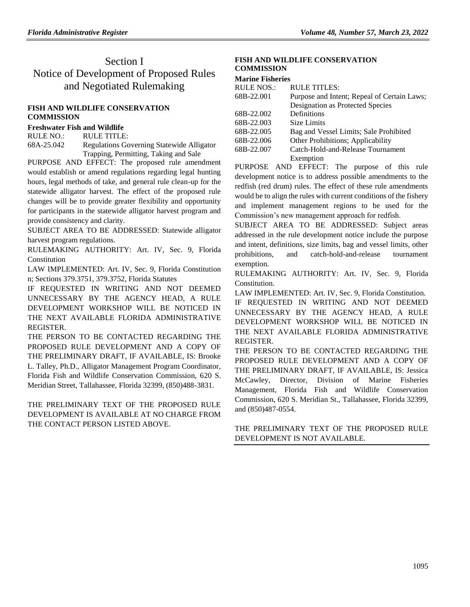# Section I Notice of Development of Proposed Rules and Negotiated Rulemaking

### **[FISH AND WILDLIFE CONSERVATION](https://www.flrules.org/gateway/department.asp?id=68)  [COMMISSION](https://www.flrules.org/gateway/department.asp?id=68)**

# **[Freshwater Fish and Wildlife](https://www.flrules.org/gateway/organization.asp?id=347)**

RULE NO.: RULE TITLE: [68A-25.042](https://www.flrules.org/gateway/ruleNo.asp?id=68A-25.042) Regulations Governing Statewide Alligator Trapping, Permitting, Taking and Sale

PURPOSE AND EFFECT: The proposed rule amendment would establish or amend regulations regarding legal hunting hours, legal methods of take, and general rule clean-up for the statewide alligator harvest. The effect of the proposed rule changes will be to provide greater flexibility and opportunity for participants in the statewide alligator harvest program and provide consistency and clarity.

SUBJECT AREA TO BE ADDRESSED: Statewide alligator harvest program regulations.

RULEMAKING AUTHORITY: [Art. IV, Sec. 9, Florida](https://www.flrules.org/gateway/flconstitution.asp?id=Art.%20IV,%20Sec.%209,%20Florida%20Constitution)  [Constitution](https://www.flrules.org/gateway/flconstitution.asp?id=Art.%20IV,%20Sec.%209,%20Florida%20Constitution)

LAW IMPLEMENTED: [Art. IV, Sec. 9, Florida Constitution](https://www.flrules.org/gateway/flconstitution.asp?id=Art.%20IV,%20Sec.%209,%20Florida%20Constitution) [n; Sections 379.3751, 379.3752, Florida Statutes](https://www.flrules.org/gateway/cfr.asp?id=n;%20Sections%20379.3751,%20379.3752,%20Florida%20Statutes)

IF REQUESTED IN WRITING AND NOT DEEMED UNNECESSARY BY THE AGENCY HEAD, A RULE DEVELOPMENT WORKSHOP WILL BE NOTICED IN THE NEXT AVAILABLE FLORIDA ADMINISTRATIVE REGISTER.

THE PERSON TO BE CONTACTED REGARDING THE PROPOSED RULE DEVELOPMENT AND A COPY OF THE PRELIMINARY DRAFT, IF AVAILABLE, IS: Brooke L. Talley, Ph.D., Alligator Management Program Coordinator, Florida Fish and Wildlife Conservation Commission, 620 S. Meridian Street, Tallahassee, Florida 32399, (850)488-3831.

THE PRELIMINARY TEXT OF THE PROPOSED RULE DEVELOPMENT IS AVAILABLE AT NO CHARGE FROM THE CONTACT PERSON LISTED ABOVE.

## **[FISH AND WILDLIFE CONSERVATION](https://www.flrules.org/gateway/department.asp?id=68)  [COMMISSION](https://www.flrules.org/gateway/department.asp?id=68)**

#### **[Marine Fisheries](https://www.flrules.org/gateway/organization.asp?id=348)**

| <b>RULE NOS.:</b> | <b>RULE TITLES:</b>                         |
|-------------------|---------------------------------------------|
| 68B-22.001        | Purpose and Intent; Repeal of Certain Laws; |
|                   | Designation as Protected Species            |
| 68B-22.002        | Definitions                                 |
| 68B-22.003        | <b>Size Limits</b>                          |
| 68B-22.005        | Bag and Vessel Limits; Sale Prohibited      |
| 68B-22.006        | Other Prohibitions; Applicability           |
| 68B-22.007        | Catch-Hold-and-Release Tournament           |
|                   | Exemption                                   |

PURPOSE AND EFFECT: The purpose of this rule development notice is to address possible amendments to the redfish (red drum) rules. The effect of these rule amendments would be to align the rules with current conditions of the fishery and implement management regions to be used for the Commission's new management approach for redfish.

SUBJECT AREA TO BE ADDRESSED: Subject areas addressed in the rule development notice include the purpose and intent, definitions, size limits, bag and vessel limits, other prohibitions, and catch-hold-and-release tournament exemption.

RULEMAKING AUTHORITY: [Art. IV, Sec. 9, Florida](https://www.flrules.org/gateway/flconstitution.asp?id=Art.%20IV,%20Sec.%209,%20Florida%20Constitution.)  [Constitution.](https://www.flrules.org/gateway/flconstitution.asp?id=Art.%20IV,%20Sec.%209,%20Florida%20Constitution.)

LAW IMPLEMENTED: [Art. IV, Sec. 9, Florida Constitution.](https://www.flrules.org/gateway/flconstitution.asp?id=Art.%20IV,%20Sec.%209,%20Florida%20Constitution.)

IF REQUESTED IN WRITING AND NOT DEEMED UNNECESSARY BY THE AGENCY HEAD, A RULE DEVELOPMENT WORKSHOP WILL BE NOTICED IN THE NEXT AVAILABLE FLORIDA ADMINISTRATIVE REGISTER.

THE PERSON TO BE CONTACTED REGARDING THE PROPOSED RULE DEVELOPMENT AND A COPY OF THE PRELIMINARY DRAFT, IF AVAILABLE, IS: Jessica McCawley, Director, Division of Marine Fisheries Management, Florida Fish and Wildlife Conservation Commission, 620 S. Meridian St., Tallahassee, Florida 32399, and (850)487-0554.

THE PRELIMINARY TEXT OF THE PROPOSED RULE DEVELOPMENT IS NOT AVAILABLE.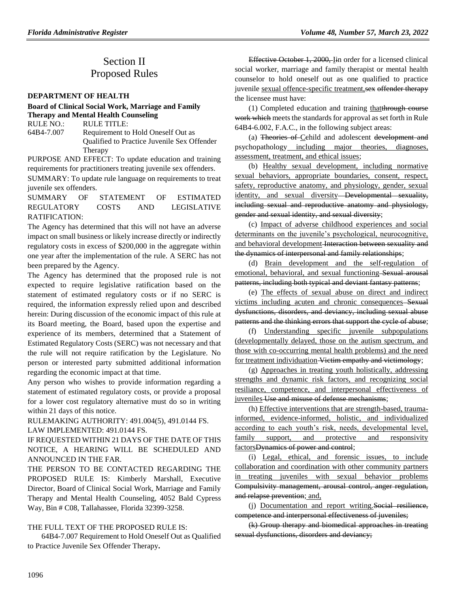# Section II Proposed Rules

#### **[DEPARTMENT OF HEALTH](https://www.flrules.org/gateway/department.asp?id=64)**

# **[Board of Clinical Social Work, Marriage and Family](https://www.flrules.org/gateway/organization.asp?id=327)  [Therapy and Mental Health Counseling](https://www.flrules.org/gateway/organization.asp?id=327)**

RULE NO.: RULE TITLE: [64B4-7.007](https://www.flrules.org/gateway/ruleNo.asp?id=64B4-7.007) Requirement to Hold Oneself Out as Qualified to Practice Juvenile Sex Offender Therapy

PURPOSE AND EFFECT: To update education and training requirements for practitioners treating juvenile sex offenders.

SUMMARY: To update rule language on requirements to treat juvenile sex offenders.

SUMMARY OF STATEMENT OF ESTIMATED REGULATORY COSTS AND LEGISLATIVE RATIFICATION:

The Agency has determined that this will not have an adverse impact on small business or likely increase directly or indirectly regulatory costs in excess of \$200,000 in the aggregate within one year after the implementation of the rule. A SERC has not been prepared by the Agency.

The Agency has determined that the proposed rule is not expected to require legislative ratification based on the statement of estimated regulatory costs or if no SERC is required, the information expressly relied upon and described herein: During discussion of the economic impact of this rule at its Board meeting, the Board, based upon the expertise and experience of its members, determined that a Statement of Estimated Regulatory Costs (SERC) was not necessary and that the rule will not require ratification by the Legislature. No person or interested party submitted additional information regarding the economic impact at that time.

Any person who wishes to provide information regarding a statement of estimated regulatory costs, or provide a proposal for a lower cost regulatory alternative must do so in writing within 21 days of this notice.

RULEMAKING AUTHORITY: [491.004\(5\),](https://www.flrules.org/gateway/statute.asp?id=491.004(5)) [491.0144 FS.](https://www.flrules.org/gateway/statute.asp?id=%20491.0144%20FS.)

#### LAW IMPLEMENTED: [491.0144 FS.](https://www.flrules.org/gateway/statute.asp?id=491.0144%20FS.)

IF REQUESTED WITHIN 21 DAYS OF THE DATE OF THIS NOTICE, A HEARING WILL BE SCHEDULED AND ANNOUNCED IN THE FAR.

THE PERSON TO BE CONTACTED REGARDING THE PROPOSED RULE IS: Kimberly Marshall, Executive Director, Board of Clinical Social Work, Marriage and Family Therapy and Mental Health Counseling, 4052 Bald Cypress Way, Bin # C08, Tallahassee, Florida 32399-3258.

### THE FULL TEXT OF THE PROPOSED RULE IS:

64B4-7.007 Requirement to Hold Oneself Out as Qualified to Practice Juvenile Sex Offender Therapy**.**

Effective October 1, 2000, Iin order for a licensed clinical social worker, marriage and family therapist or mental health counselor to hold oneself out as one qualified to practice juvenile sexual offence-specific treatment, sex offender therapy the licensee must have:

(1) Completed education and training thatthrough course work which meets the standards for approval as set forth in Rule 64B4-6.002, F.A.C., in the following subject areas:

(a) Theories of Cehild and adolescent development and psychopathology including major theories, diagnoses, assessment, treatment, and ethical issues;

(b) Healthy sexual development, including normative sexual behaviors, appropriate boundaries, consent, respect, safety, reproductive anatomy, and physiology, gender, sexual identity, and sexual diversity Developmental sexuality, including sexual and reproductive anatomy and physiology, gender and sexual identity, and sexual diversity;

(c) Impact of adverse childhood experiences and social determinants on the juvenile's psychological, neurocognitive, and behavioral development Interaction between sexuality and the dynamics of interpersonal and family relationships;

(d) Brain development and the self-regulation of emotional, behavioral, and sexual functioning Sexual arousal patterns, including both typical and deviant fantasy patterns;

(e) The effects of sexual abuse on direct and indirect victims including acuten and chronic consequences Sexual dysfunctions, disorders, and deviancy, including sexual abuse patterns and the thinking errors that support the cycle of abuse;

(f) Understanding specific juvenile subpopulations (developmentally delayed, those on the autism spectrum, and those with co-occurring mental health problems) and the need for treatment individuation Victim empathy and victimology;

(g) Approaches in treating youth holistically, addressing strengths and dynamic risk factors, and recognizing social resiliance, competence, and interpersonal effectiveness of juveniles Use and misuse of defense mechanisms;

(h) Effective interventions that are strength-based, traumainformed, evidence-informed, holistic, and individualized according to each youth's risk, needs, developmental level, family support, and protective and responsivity factorsDynamics of power and control;

(i) Legal, ethical, and forensic issues, to include collaboration and coordination with other community partners in treating juveniles with sexual behavior problems Compulsivity management, arousal control, anger regulation, and relapse prevention; and,

(j) Documentation and report writing.Social resilience, competence and interpersonal effectiveness of juveniles;

(k) Group therapy and biomedical approaches in treating sexual dysfunctions, disorders and deviancy;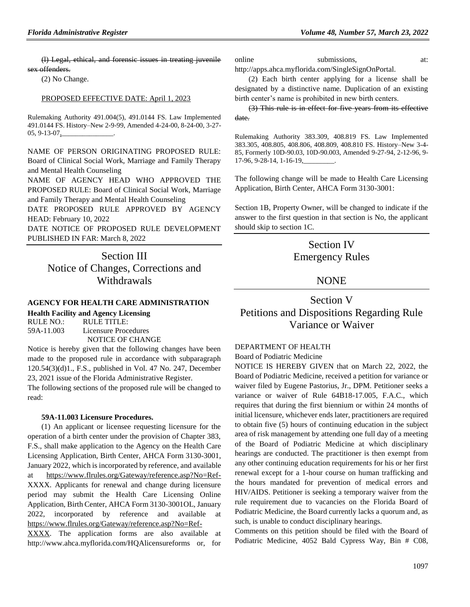(l) Legal, ethical, and forensic issues in treating juvenile sex offenders.

(2) No Change.

#### PROPOSED EFFECTIVE DATE: April 1, 2023

Rulemaking Authority 491.004(5), 491.0144 FS. Law Implemented 491.0144 FS. History–New 2-9-99, Amended 4-24-00, 8-24-00, 3-27- 05, 9-13-07,

NAME OF PERSON ORIGINATING PROPOSED RULE: Board of Clinical Social Work, Marriage and Family Therapy and Mental Health Counseling

NAME OF AGENCY HEAD WHO APPROVED THE PROPOSED RULE: Board of Clinical Social Work, Marriage and Family Therapy and Mental Health Counseling

DATE PROPOSED RULE APPROVED BY AGENCY HEAD: February 10, 2022

DATE NOTICE OF PROPOSED RULE DEVELOPMENT PUBLISHED IN FAR: March 8, 2022

> Section III Notice of Changes, Corrections and **Withdrawals**

#### **[AGENCY FOR HEALTH CARE ADMINISTRATION](https://www.flrules.org/gateway/department.asp?id=59)**

| <b>Health Facility and Agency Licensing</b> |                         |  |  |
|---------------------------------------------|-------------------------|--|--|
| RULE NO.:                                   | RULE TITLE:             |  |  |
| 59A-11.003                                  | Licensure Procedures    |  |  |
|                                             | <b>NOTICE OF CHANGE</b> |  |  |

Notice is hereby given that the following changes have been made to the proposed rule in accordance with subparagraph 120.54(3)(d)1., F.S., published in Vol. 47 No. 247, December 23, 2021 issue of the Florida Administrative Register. The following sections of the proposed rule will be changed to read:

#### **59A-11.003 Licensure Procedures.**

(1) An applicant or licensee requesting licensure for the operation of a birth center under the provision of Chapter 383, F.S., shall make application to the Agency on the Health Care Licensing Application, Birth Center, AHCA Form 3130-3001, January 2022, which is incorporated by reference, and available at https://www.flrules.org/Gateway/reference.asp?No=Ref-XXXX. Applicants for renewal and change during licensure period may submit the Health Care Licensing Online Application, Birth Center, AHCA Form 3130-3001OL, January 2022, incorporated by reference and available at https://www.flrules.org/Gateway/reference.asp?No=Ref-

XXXX. The application forms are also available at http://www.ahca.myflorida.com/HQAlicensureforms or, for online submissions, at: http://apps.ahca.myflorida.com/SingleSignOnPortal.

(2) Each birth center applying for a license shall be designated by a distinctive name. Duplication of an existing birth center's name is prohibited in new birth centers.

(3) This rule is in effect for five years from its effective date.

Rulemaking Authority 383.309, 408.819 FS. Law Implemented 383.305, 408.805, 408.806, 408.809, 408.810 FS. History–New 3-4- 85, Formerly 10D-90.03, 10D-90.003, Amended 9-27-94, 2-12-96, 9- 17-96, 9-28-14, 1-16-19,\_\_\_\_\_\_\_\_\_.

The following change will be made to Health Care Licensing Application, Birth Center, AHCA Form 3130-3001:

Section 1B, Property Owner, will be changed to indicate if the answer to the first question in that section is No, the applicant should skip to section 1C.

# Section IV Emergency Rules

# NONE

# Section V Petitions and Dispositions Regarding Rule Variance or Waiver

#### [DEPARTMENT OF HEALTH](https://www.flrules.org/gateway/department.asp?id=64)

[Board of Podiatric Medicine](https://www.flrules.org/gateway/organization.asp?id=309)

NOTICE IS HEREBY GIVEN that on March 22, 2022, the Board of Podiatric Medicine, received a petition for variance or waiver filed by Eugene Pastorius, Jr., DPM. Petitioner seeks a variance or waiver of Rule 64B18-17.005, F.A.C., which requires that during the first biennium or within 24 months of initial licensure, whichever ends later, practitioners are required to obtain five (5) hours of continuing education in the subject area of risk management by attending one full day of a meeting of the Board of Podiatric Medicine at which disciplinary hearings are conducted. The practitioner is then exempt from any other continuing education requirements for his or her first renewal except for a 1-hour course on human trafficking and the hours mandated for prevention of medical errors and HIV/AIDS. Petitioner is seeking a temporary waiver from the rule requirement due to vacancies on the Florida Board of Podiatric Medicine, the Board currently lacks a quorum and, as such, is unable to conduct disciplinary hearings.

Comments on this petition should be filed with the Board of Podiatric Medicine, 4052 Bald Cypress Way, Bin # C08,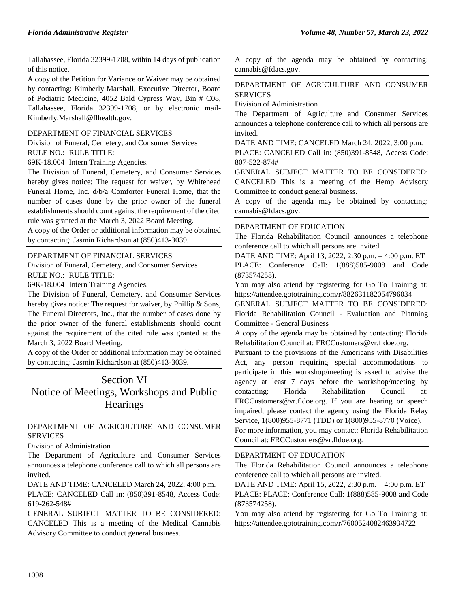Tallahassee, Florida 32399-1708, within 14 days of publication of this notice.

A copy of the Petition for Variance or Waiver may be obtained by contacting: Kimberly Marshall, Executive Director, Board of Podiatric Medicine, 4052 Bald Cypress Way, Bin # C08, Tallahassee, Florida 32399-1708, or by electronic mail-Kimberly.Marshall@flhealth.gov.

#### [DEPARTMENT OF FINANCIAL SERVICES](https://www.flrules.org/gateway/department.asp?id=69)

[Division of Funeral, Cemetery, and Consumer Services](https://www.flrules.org/gateway/organization.asp?id=369) RULE NO.: RULE TITLE:

[69K-18.004](https://www.flrules.org/gateway/ruleNo.asp?id=69K-18.004) Intern Training Agencies.

The Division of Funeral, Cemetery, and Consumer Services hereby gives notice: The request for waiver, by Whitehead Funeral Home, Inc. d/b/a Comforter Funeral Home, that the number of cases done by the prior owner of the funeral establishments should count against the requirement of the cited rule was granted at the March 3, 2022 Board Meeting.

A copy of the Order or additional information may be obtained by contacting: Jasmin Richardson at (850)413-3039.

#### [DEPARTMENT OF FINANCIAL SERVICES](https://www.flrules.org/gateway/department.asp?id=69)

[Division of Funeral, Cemetery, and Consumer Services](https://www.flrules.org/gateway/organization.asp?id=369) RULE NO.: RULE TITLE:

[69K-18.004](https://www.flrules.org/gateway/ruleNo.asp?id=69K-18.004) Intern Training Agencies.

The Division of Funeral, Cemetery, and Consumer Services hereby gives notice: The request for waiver, by Phillip & Sons, The Funeral Directors, Inc., that the number of cases done by the prior owner of the funeral establishments should count against the requirement of the cited rule was granted at the March 3, 2022 Board Meeting.

A copy of the Order or additional information may be obtained by contacting: Jasmin Richardson at (850)413-3039.

# Section VI Notice of Meetings, Workshops and Public **Hearings**

## [DEPARTMENT OF AGRICULTURE AND CONSUMER](https://www.flrules.org/gateway/department.asp?id=5)  [SERVICES](https://www.flrules.org/gateway/department.asp?id=5)

[Division of Administration](https://www.flrules.org/gateway/organization.asp?id=161)

The Department of Agriculture and Consumer Services announces a telephone conference call to which all persons are invited.

DATE AND TIME: CANCELED March 24, 2022, 4:00 p.m.

PLACE: CANCELED Call in: (850)391-8548, Access Code: 619-262-548#

GENERAL SUBJECT MATTER TO BE CONSIDERED: CANCELED This is a meeting of the Medical Cannabis Advisory Committee to conduct general business.

A copy of the agenda may be obtained by contacting: cannabis@fdacs.gov.

# [DEPARTMENT OF AGRICULTURE AND CONSUMER](https://www.flrules.org/gateway/department.asp?id=5)  [SERVICES](https://www.flrules.org/gateway/department.asp?id=5)

[Division of Administration](https://www.flrules.org/gateway/organization.asp?id=161)

The Department of Agriculture and Consumer Services announces a telephone conference call to which all persons are invited.

DATE AND TIME: CANCELED March 24, 2022, 3:00 p.m.

PLACE: CANCELED Call in: (850)391-8548, Access Code: 807-522-874#

GENERAL SUBJECT MATTER TO BE CONSIDERED: CANCELED This is a meeting of the Hemp Advisory Committee to conduct general business.

A copy of the agenda may be obtained by contacting: cannabis@fdacs.gov.

#### [DEPARTMENT OF EDUCATION](https://www.flrules.org/gateway/department.asp?id=6)

The Florida Rehabilitation Council announces a telephone conference call to which all persons are invited.

DATE AND TIME: April 13, 2022, 2:30 p.m. – 4:00 p.m. ET PLACE: Conference Call: 1(888)585-9008 and Code (873574258).

You may also attend by registering for Go To Training at: https://attendee.gototraining.com/r/882631182054796034

GENERAL SUBJECT MATTER TO BE CONSIDERED: Florida Rehabilitation Council - Evaluation and Planning Committee - General Business

A copy of the agenda may be obtained by contacting: Florida Rehabilitation Council at: FRCCustomers@vr.fldoe.org.

Pursuant to the provisions of the Americans with Disabilities Act, any person requiring special accommodations to participate in this workshop/meeting is asked to advise the agency at least 7 days before the workshop/meeting by contacting: Florida Rehabilitation Council at: FRCCustomers@vr.fldoe.org. If you are hearing or speech impaired, please contact the agency using the Florida Relay Service, 1(800)955-8771 (TDD) or 1(800)955-8770 (Voice).

For more information, you may contact: Florida Rehabilitation Council at: FRCCustomers@vr.fldoe.org.

### [DEPARTMENT OF EDUCATION](https://www.flrules.org/gateway/department.asp?id=6)

The Florida Rehabilitation Council announces a telephone conference call to which all persons are invited.

DATE AND TIME: April 15, 2022, 2:30 p.m. – 4:00 p.m. ET PLACE: PLACE: Conference Call: 1(888)585-9008 and Code (873574258).

You may also attend by registering for Go To Training at: https://attendee.gototraining.com/r/7600524082463934722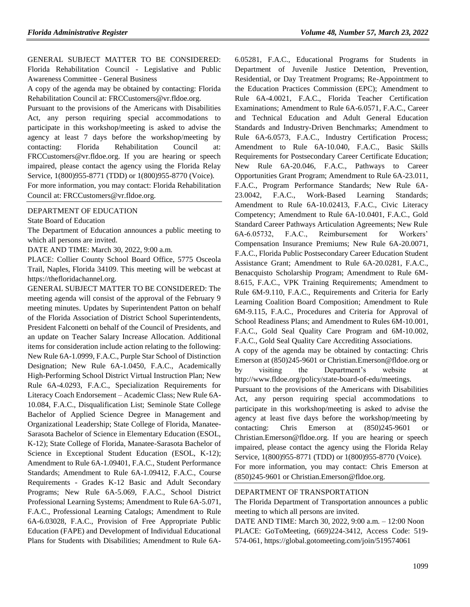GENERAL SUBJECT MATTER TO BE CONSIDERED: Florida Rehabilitation Council - Legislative and Public Awareness Committee - General Business

A copy of the agenda may be obtained by contacting: Florida Rehabilitation Council at: FRCCustomers@vr.fldoe.org.

Pursuant to the provisions of the Americans with Disabilities Act, any person requiring special accommodations to participate in this workshop/meeting is asked to advise the agency at least 7 days before the workshop/meeting by contacting: Florida Rehabilitation Council at: FRCCustomers@vr.fldoe.org. If you are hearing or speech impaired, please contact the agency using the Florida Relay Service, 1(800)955-8771 (TDD) or 1(800)955-8770 (Voice). For more information, you may contact: Florida Rehabilitation Council at: FRCCustomers@vr.fldoe.org.

#### [DEPARTMENT OF EDUCATION](https://www.flrules.org/gateway/department.asp?id=6)

[State Board of Education](https://www.flrules.org/gateway/organization.asp?id=195)

The Department of Education announces a public meeting to which all persons are invited.

DATE AND TIME: March 30, 2022, 9:00 a.m.

PLACE: Collier County School Board Office, 5775 Osceola Trail, Naples, Florida 34109. This meeting will be webcast at https://thefloridachannel.org.

GENERAL SUBJECT MATTER TO BE CONSIDERED: The meeting agenda will consist of the approval of the February 9 meeting minutes. Updates by Superintendent Patton on behalf of the Florida Association of District School Superintendents, President Falconetti on behalf of the Council of Presidents, and an update on Teacher Salary Increase Allocation. Additional items for consideration include action relating to the following: New Rule 6A-1.0999, F.A.C., Purple Star School of Distinction Designation; New Rule 6A-1.0450, F.A.C., Academically High-Performing School District Virtual Instruction Plan; New Rule 6A-4.0293, F.A.C., Specialization Requirements for Literacy Coach Endorsement – Academic Class; New Rule 6A-10.084, F.A.C., Disqualification List; Seminole State College Bachelor of Applied Science Degree in Management and Organizational Leadership; State College of Florida, Manatee-Sarasota Bachelor of Science in Elementary Education (ESOL, K-12); State College of Florida, Manatee-Sarasota Bachelor of Science in Exceptional Student Education (ESOL, K-12); Amendment to Rule 6A-1.09401, F.A.C., Student Performance Standards; Amendment to Rule 6A-1.09412, F.A.C., Course Requirements - Grades K-12 Basic and Adult Secondary Programs; New Rule 6A-5.069, F.A.C., School District Professional Learning Systems; Amendment to Rule 6A-5.071, F.A.C., Professional Learning Catalogs; Amendment to Rule 6A-6.03028, F.A.C., Provision of Free Appropriate Public Education (FAPE) and Development of Individual Educational Plans for Students with Disabilities; Amendment to Rule 6A-

6.05281, F.A.C., Educational Programs for Students in Department of Juvenile Justice Detention, Prevention, Residential, or Day Treatment Programs; Re-Appointment to the Education Practices Commission (EPC); Amendment to Rule 6A-4.0021, F.A.C., Florida Teacher Certification Examinations; Amendment to Rule 6A-6.0571, F.A.C., Career and Technical Education and Adult General Education Standards and Industry-Driven Benchmarks; Amendment to Rule 6A-6.0573, F.A.C., Industry Certification Process; Amendment to Rule 6A-10.040, F.A.C., Basic Skills Requirements for Postsecondary Career Certificate Education; New Rule 6A-20.046, F.A.C., Pathways to Career Opportunities Grant Program; Amendment to Rule 6A-23.011, F.A.C., Program Performance Standards; New Rule 6A-23.0042, F.A.C., Work-Based Learning Standards; Amendment to Rule 6A-10.02413, F.A.C., Civic Literacy Competency; Amendment to Rule 6A-10.0401, F.A.C., Gold Standard Career Pathways Articulation Agreements; New Rule 6A-6.05732, F.A.C., Reimbursement for Workers' Compensation Insurance Premiums; New Rule 6A-20.0071, F.A.C., Florida Public Postsecondary Career Education Student Assistance Grant; Amendment to Rule 6A-20.0281, F.A.C., Benacquisto Scholarship Program; Amendment to Rule 6M-8.615, F.A.C., VPK Training Requirements; Amendment to Rule 6M-9.110, F.A.C., Requirements and Criteria for Early Learning Coalition Board Composition; Amendment to Rule 6M-9.115, F.A.C., Procedures and Criteria for Approval of School Readiness Plans; and Amendment to Rules 6M-10.001, F.A.C., Gold Seal Quality Care Program and 6M-10.002, F.A.C., Gold Seal Quality Care Accrediting Associations. A copy of the agenda may be obtained by contacting: Chris Emerson at (850)245-9601 or Christian.Emerson@fldoe.org or by visiting the Department's website at http://www.fldoe.org/policy/state-board-of-edu/meetings. Pursuant to the provisions of the Americans with Disabilities Act, any person requiring special accommodations to participate in this workshop/meeting is asked to advise the agency at least five days before the workshop/meeting by contacting: Chris Emerson at (850)245-9601 or Christian.Emerson@fldoe.org. If you are hearing or speech impaired, please contact the agency using the Florida Relay

Service, 1(800)955-8771 (TDD) or 1(800)955-8770 (Voice). For more information, you may contact: Chris Emerson at (850)245-9601 or Christian.Emerson@fldoe.org.

#### [DEPARTMENT OF TRANSPORTATION](https://www.flrules.org/gateway/department.asp?id=14)

The Florida Department of Transportation announces a public meeting to which all persons are invited.

DATE AND TIME: March 30, 2022, 9:00 a.m. – 12:00 Noon PLACE: GoToMeeting, (669)224-3412, Access Code: 519- 574-061, https://global.gotomeeting.com/join/519574061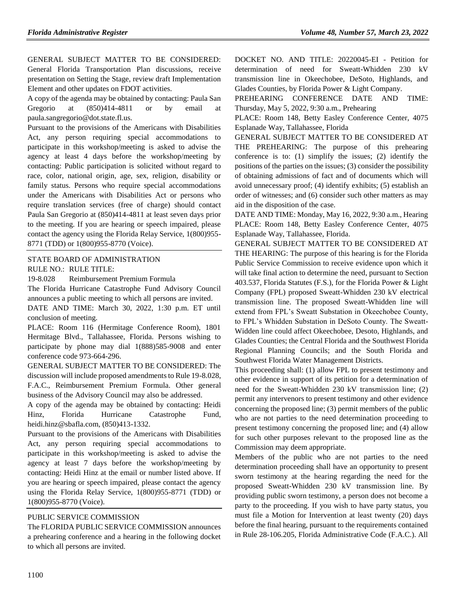GENERAL SUBJECT MATTER TO BE CONSIDERED: General Florida Transportation Plan discussions, receive presentation on Setting the Stage, review draft Implementation Element and other updates on FDOT activities.

A copy of the agenda may be obtained by contacting: Paula San Gregorio at (850)414-4811 or by email at paula.sangregorio@dot.state.fl.us.

Pursuant to the provisions of the Americans with Disabilities Act, any person requiring special accommodations to participate in this workshop/meeting is asked to advise the agency at least 4 days before the workshop/meeting by contacting: Public participation is solicited without regard to race, color, national origin, age, sex, religion, disability or family status. Persons who require special accommodations under the Americans with Disabilities Act or persons who require translation services (free of charge) should contact Paula San Gregorio at (850)414-4811 at least seven days prior to the meeting. If you are hearing or speech impaired, please contact the agency using the Florida Relay Service, 1(800)955- 8771 (TDD) or 1(800)955-8770 (Voice).

#### [STATE BOARD OF ADMINISTRATION](https://www.flrules.org/gateway/department.asp?id=19)

RULE NO.: RULE TITLE:

[19-8.028](https://www.flrules.org/gateway/ruleNo.asp?id=19-8.028) Reimbursement Premium Formula

The Florida Hurricane Catastrophe Fund Advisory Council announces a public meeting to which all persons are invited.

DATE AND TIME: March 30, 2022, 1:30 p.m. ET until conclusion of meeting.

PLACE: Room 116 (Hermitage Conference Room), 1801 Hermitage Blvd., Tallahassee, Florida. Persons wishing to participate by phone may dial 1(888)585-9008 and enter conference code 973-664-296.

GENERAL SUBJECT MATTER TO BE CONSIDERED: The discussion will include proposed amendments to Rule 19-8.028, F.A.C., Reimbursement Premium Formula. Other general business of the Advisory Council may also be addressed.

A copy of the agenda may be obtained by contacting: Heidi Hinz, Florida Hurricane Catastrophe Fund, heidi.hinz@sbafla.com, (850)413-1332.

Pursuant to the provisions of the Americans with Disabilities Act, any person requiring special accommodations to participate in this workshop/meeting is asked to advise the agency at least 7 days before the workshop/meeting by contacting: Heidi Hinz at the email or number listed above. If you are hearing or speech impaired, please contact the agency using the Florida Relay Service, 1(800)955-8771 (TDD) or 1(800)955-8770 (Voice).

### [PUBLIC SERVICE COMMISSION](https://www.flrules.org/gateway/department.asp?id=25)

The FLORIDA PUBLIC SERVICE COMMISSION announces a prehearing conference and a hearing in the following docket to which all persons are invited.

DOCKET NO. AND TITLE: 20220045-EI - Petition for determination of need for Sweatt-Whidden 230 kV transmission line in Okeechobee, DeSoto, Highlands, and Glades Counties, by Florida Power & Light Company.

PREHEARING CONFERENCE DATE AND TIME: Thursday, May 5, 2022, 9:30 a.m., Prehearing

PLACE: Room 148, Betty Easley Conference Center, 4075 Esplanade Way, Tallahassee, Florida

GENERAL SUBJECT MATTER TO BE CONSIDERED AT THE PREHEARING: The purpose of this prehearing conference is to: (1) simplify the issues; (2) identify the positions of the parties on the issues; (3) consider the possibility of obtaining admissions of fact and of documents which will avoid unnecessary proof; (4) identify exhibits; (5) establish an order of witnesses; and (6) consider such other matters as may aid in the disposition of the case.

DATE AND TIME: Monday, May 16, 2022, 9:30 a.m., Hearing PLACE: Room 148, Betty Easley Conference Center, 4075 Esplanade Way, Tallahassee, Florida.

GENERAL SUBJECT MATTER TO BE CONSIDERED AT THE HEARING: The purpose of this hearing is for the Florida Public Service Commission to receive evidence upon which it will take final action to determine the need, pursuant to Section 403.537, Florida Statutes (F.S.), for the Florida Power & Light Company (FPL) proposed Sweatt-Whidden 230 kV electrical transmission line. The proposed Sweatt-Whidden line will extend from FPL's Sweatt Substation in Okeechobee County, to FPL's Whidden Substation in DeSoto County. The Sweatt-Widden line could affect Okeechobee, Desoto, Highlands, and Glades Counties; the Central Florida and the Southwest Florida Regional Planning Councils; and the South Florida and Southwest Florida Water Management Districts.

This proceeding shall: (1) allow FPL to present testimony and other evidence in support of its petition for a determination of need for the Sweatt-Whidden 230 kV transmission line; (2) permit any intervenors to present testimony and other evidence concerning the proposed line; (3) permit members of the public who are not parties to the need determination proceeding to present testimony concerning the proposed line; and (4) allow for such other purposes relevant to the proposed line as the Commission may deem appropriate.

Members of the public who are not parties to the need determination proceeding shall have an opportunity to present sworn testimony at the hearing regarding the need for the proposed Sweatt-Whidden 230 kV transmission line. By providing public sworn testimony, a person does not become a party to the proceeding. If you wish to have party status, you must file a Motion for Intervention at least twenty (20) days before the final hearing, pursuant to the requirements contained in Rule 28-106.205, Florida Administrative Code (F.A.C.). All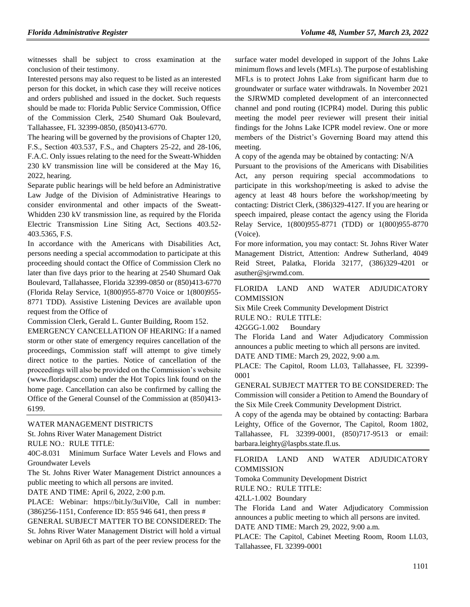witnesses shall be subject to cross examination at the conclusion of their testimony.

Interested persons may also request to be listed as an interested person for this docket, in which case they will receive notices and orders published and issued in the docket. Such requests should be made to: Florida Public Service Commission, Office of the Commission Clerk, 2540 Shumard Oak Boulevard, Tallahassee, FL 32399-0850, (850)413-6770.

The hearing will be governed by the provisions of Chapter 120, F.S., Section 403.537, F.S., and Chapters 25-22, and 28-106, F.A.C. Only issues relating to the need for the Sweatt-Whidden 230 kV transmission line will be considered at the May 16, 2022, hearing.

Separate public hearings will be held before an Administrative Law Judge of the Division of Administrative Hearings to consider environmental and other impacts of the Sweatt-Whidden 230 kV transmission line, as required by the Florida Electric Transmission Line Siting Act, Sections 403.52- 403.5365, F.S.

In accordance with the Americans with Disabilities Act, persons needing a special accommodation to participate at this proceeding should contact the Office of Commission Clerk no later than five days prior to the hearing at 2540 Shumard Oak Boulevard, Tallahassee, Florida 32399-0850 or (850)413-6770 (Florida Relay Service, 1(800)955-8770 Voice or 1(800)955- 8771 TDD). Assistive Listening Devices are available upon request from the Office of

Commission Clerk, Gerald L. Gunter Building, Room 152.

EMERGENCY CANCELLATION OF HEARING: If a named storm or other state of emergency requires cancellation of the proceedings, Commission staff will attempt to give timely direct notice to the parties. Notice of cancellation of the proceedings will also be provided on the Commission's website [\(www.floridapsc.com\)](http://www.floridapsc.com/) under the Hot Topics link found on the home page. Cancellation can also be confirmed by calling the Office of the General Counsel of the Commission at (850)413- 6199.

#### [WATER MANAGEMENT DISTRICTS](https://www.flrules.org/gateway/department.asp?id=40)

[St. Johns River Water Management District](https://www.flrules.org/gateway/organization.asp?id=122)

RULE NO.: RULE TITLE:

[40C-8.031](https://www.flrules.org/gateway/ruleNo.asp?id=40C-8.031) Minimum Surface Water Levels and Flows and Groundwater Levels

The St. Johns River Water Management District announces a public meeting to which all persons are invited.

DATE AND TIME: April 6, 2022, 2:00 p.m.

PLACE: Webinar: https://bit.ly/3uiVl0e, Call in number: (386)256-1151, Conference ID: 855 946 641, then press #

GENERAL SUBJECT MATTER TO BE CONSIDERED: The St. Johns River Water Management District will hold a virtual webinar on April 6th as part of the peer review process for the surface water model developed in support of the Johns Lake minimum flows and levels (MFLs). The purpose of establishing MFLs is to protect Johns Lake from significant harm due to groundwater or surface water withdrawals. In November 2021 the SJRWMD completed development of an interconnected channel and pond routing (ICPR4) model. During this public meeting the model peer reviewer will present their initial findings for the Johns Lake ICPR model review. One or more members of the District's Governing Board may attend this meeting.

A copy of the agenda may be obtained by contacting: N/A

Pursuant to the provisions of the Americans with Disabilities Act, any person requiring special accommodations to participate in this workshop/meeting is asked to advise the agency at least 48 hours before the workshop/meeting by contacting: District Clerk, (386)329-4127. If you are hearing or speech impaired, please contact the agency using the Florida Relay Service, 1(800)955-8771 (TDD) or 1(800)955-8770 (Voice).

For more information, you may contact: St. Johns River Water Management District, Attention: Andrew Sutherland, 4049 Reid Street, Palatka, Florida 32177, (386)329-4201 or asuther@sjrwmd.com.

#### [FLORIDA LAND AND WATER ADJUDICATORY](https://www.flrules.org/gateway/department.asp?id=42)  **[COMMISSION](https://www.flrules.org/gateway/department.asp?id=42)**

[Six Mile Creek Community Development District](https://www.flrules.org/gateway/organization.asp?id=562)

RULE NO.: RULE TITLE:

[42GGG-1.002](https://www.flrules.org/gateway/ruleNo.asp?id=42GGG-1.002) Boundary

The Florida Land and Water Adjudicatory Commission announces a public meeting to which all persons are invited.

DATE AND TIME: March 29, 2022, 9:00 a.m.

PLACE: The Capitol, Room LL03, Tallahassee, FL 32399- 0001

GENERAL SUBJECT MATTER TO BE CONSIDERED: The Commission will consider a Petition to Amend the Boundary of the Six Mile Creek Community Development District.

A copy of the agenda may be obtained by contacting: Barbara Leighty, Office of the Governor, The Capitol, Room 1802, Tallahassee, FL 32399-0001, (850)717-9513 or email: barbara.leighty@laspbs.state.fl.us.

[FLORIDA LAND AND WATER ADJUDICATORY](https://www.flrules.org/gateway/department.asp?id=42)  **[COMMISSION](https://www.flrules.org/gateway/department.asp?id=42)** 

[Tomoka Community Development District](https://www.flrules.org/gateway/organization.asp?id=486)

RULE NO.: RULE TITLE:

[42LL-1.002](https://www.flrules.org/gateway/ruleNo.asp?id=42LL-1.002) Boundary

The Florida Land and Water Adjudicatory Commission announces a public meeting to which all persons are invited. DATE AND TIME: March 29, 2022, 9:00 a.m.

PLACE: The Capitol, Cabinet Meeting Room, Room LL03, Tallahassee, FL 32399-0001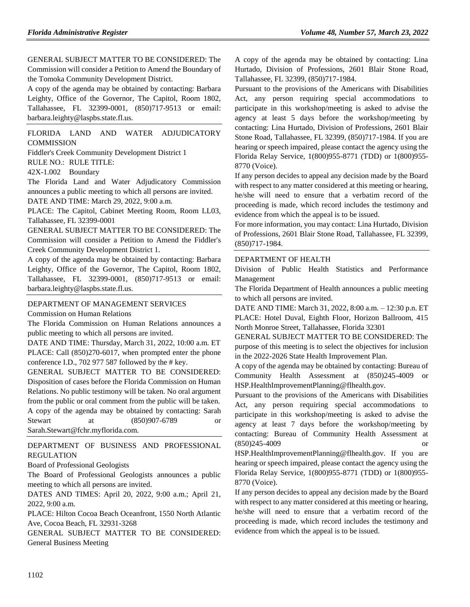GENERAL SUBJECT MATTER TO BE CONSIDERED: The Commission will consider a Petition to Amend the Boundary of the Tomoka Community Development District.

A copy of the agenda may be obtained by contacting: Barbara Leighty, Office of the Governor, The Capitol, Room 1802, Tallahassee, FL 32399-0001, (850)717-9513 or email: barbara.leighty@laspbs.state.fl.us.

[FLORIDA LAND AND WATER ADJUDICATORY](https://www.flrules.org/gateway/department.asp?id=42)  **[COMMISSION](https://www.flrules.org/gateway/department.asp?id=42)** 

[Fiddler's Creek Community Development District 1](https://www.flrules.org/gateway/organization.asp?id=153)

RULE NO.: RULE TITLE:

[42X-1.002](https://www.flrules.org/gateway/ruleNo.asp?id=42X-1.002) Boundary

The Florida Land and Water Adjudicatory Commission announces a public meeting to which all persons are invited. DATE AND TIME: March 29, 2022, 9:00 a.m.

PLACE: The Capitol, Cabinet Meeting Room, Room LL03, Tallahassee, FL 32399-0001

GENERAL SUBJECT MATTER TO BE CONSIDERED: The Commission will consider a Petition to Amend the Fiddler's Creek Community Development District 1.

A copy of the agenda may be obtained by contacting: Barbara Leighty, Office of the Governor, The Capitol, Room 1802, Tallahassee, FL 32399-0001, (850)717-9513 or email: barbara.leighty@laspbs.state.fl.us.

# [DEPARTMENT OF MANAGEMENT SERVICES](https://www.flrules.org/gateway/department.asp?id=60)

[Commission on Human Relations](https://www.flrules.org/gateway/organization.asp?id=245)

The Florida Commission on Human Relations announces a public meeting to which all persons are invited.

DATE AND TIME: Thursday, March 31, 2022, 10:00 a.m. ET PLACE: Call (850)270-6017, when prompted enter the phone conference I.D., 702 977 587 followed by the # key.

GENERAL SUBJECT MATTER TO BE CONSIDERED: Disposition of cases before the Florida Commission on Human Relations. No public testimony will be taken. No oral argument from the public or oral comment from the public will be taken. A copy of the agenda may be obtained by contacting: Sarah Stewart at (850)907-6789 or Sarah.Stewart@fchr.myflorida.com.

[DEPARTMENT OF BUSINESS AND PROFESSIONAL](https://www.flrules.org/gateway/department.asp?id=61)  [REGULATION](https://www.flrules.org/gateway/department.asp?id=61)

#### [Board of Professional Geologists](https://www.flrules.org/gateway/organization.asp?id=268)

The Board of Professional Geologists announces a public meeting to which all persons are invited.

DATES AND TIMES: April 20, 2022, 9:00 a.m.; April 21, 2022, 9:00 a.m.

PLACE: Hilton Cocoa Beach Oceanfront, 1550 North Atlantic Ave, Cocoa Beach, FL 32931-3268

GENERAL SUBJECT MATTER TO BE CONSIDERED: General Business Meeting

A copy of the agenda may be obtained by contacting: Lina Hurtado, Division of Professions, 2601 Blair Stone Road, Tallahassee, FL 32399, (850)717-1984.

Pursuant to the provisions of the Americans with Disabilities Act, any person requiring special accommodations to participate in this workshop/meeting is asked to advise the agency at least 5 days before the workshop/meeting by contacting: Lina Hurtado, Division of Professions, 2601 Blair Stone Road, Tallahassee, FL 32399, (850)717-1984. If you are hearing or speech impaired, please contact the agency using the Florida Relay Service, 1(800)955-8771 (TDD) or 1(800)955- 8770 (Voice).

If any person decides to appeal any decision made by the Board with respect to any matter considered at this meeting or hearing, he/she will need to ensure that a verbatim record of the proceeding is made, which record includes the testimony and evidence from which the appeal is to be issued.

For more information, you may contact: Lina Hurtado, Division of Professions, 2601 Blair Stone Road, Tallahassee, FL 32399, (850)717-1984.

### [DEPARTMENT OF HEALTH](https://www.flrules.org/gateway/department.asp?id=64)

[Division of Public Health Statistics and Performance](https://www.flrules.org/gateway/organization.asp?id=1152)  [Management](https://www.flrules.org/gateway/organization.asp?id=1152)

The Florida Department of Health announces a public meeting to which all persons are invited.

DATE AND TIME: March 31, 2022, 8:00 a.m. – 12:30 p.n. ET PLACE: Hotel Duval, Eighth Floor, Horizon Ballroom, 415 North Monroe Street, Tallahassee, Florida 32301

GENERAL SUBJECT MATTER TO BE CONSIDERED: The purpose of this meeting is to select the objectives for inclusion in the 2022-2026 State Health Improvement Plan.

A copy of the agenda may be obtained by contacting: Bureau of Community Health Assessment at (850)245-4009 or HSP.HealthImprovementPlanning@flhealth.gov.

Pursuant to the provisions of the Americans with Disabilities Act, any person requiring special accommodations to participate in this workshop/meeting is asked to advise the agency at least 7 days before the workshop/meeting by contacting: Bureau of Community Health Assessment at (850)245-4009 or

HSP.HealthImprovementPlanning@flhealth.gov. If you are hearing or speech impaired, please contact the agency using the Florida Relay Service, 1(800)955-8771 (TDD) or 1(800)955- 8770 (Voice).

If any person decides to appeal any decision made by the Board with respect to any matter considered at this meeting or hearing, he/she will need to ensure that a verbatim record of the proceeding is made, which record includes the testimony and evidence from which the appeal is to be issued.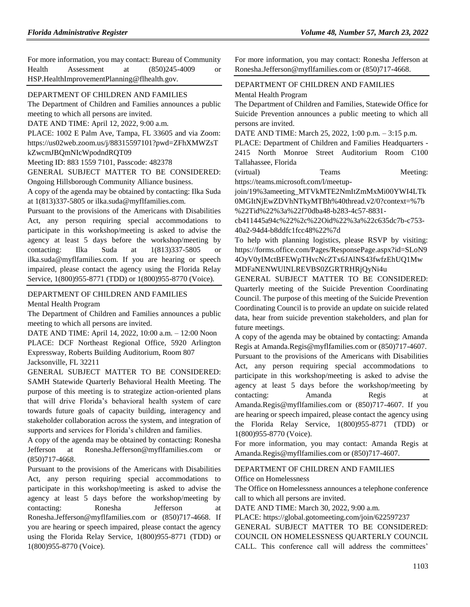For more information, you may contact: Bureau of Community Health Assessment at (850)245-4009 or HSP.HealthImprovementPlanning@flhealth.gov.

#### [DEPARTMENT OF CHILDREN AND FAMILIES](https://www.flrules.org/gateway/department.asp?id=65)

The Department of Children and Families announces a public meeting to which all persons are invited.

DATE AND TIME: April 12, 2022, 9:00 a.m.

PLACE: 1002 E Palm Ave, Tampa, FL 33605 and via Zoom: https://us02web.zoom.us/j/88315597101?pwd=ZFhXMWZsT

kZwcmJBQmNIcWpodndRQT09

Meeting ID: 883 1559 7101, Passcode: 482378

GENERAL SUBJECT MATTER TO BE CONSIDERED:

Ongoing Hillsborough Community Alliance business.

A copy of the agenda may be obtained by contacting: Ilka Suda at 1(813)337-5805 or ilka.suda@myflfamilies.com.

Pursuant to the provisions of the Americans with Disabilities Act, any person requiring special accommodations to participate in this workshop/meeting is asked to advise the agency at least 5 days before the workshop/meeting by contacting: Ilka Suda at 1(813)337-5805 or ilka.suda@myflfamilies.com. If you are hearing or speech impaired, please contact the agency using the Florida Relay Service, 1(800)955-8771 (TDD) or 1(800)955-8770 (Voice).

#### [DEPARTMENT OF CHILDREN AND FAMILIES](https://www.flrules.org/gateway/department.asp?id=65)

[Mental Health Program](https://www.flrules.org/gateway/organization.asp?id=344)

The Department of Children and Families announces a public meeting to which all persons are invited.

DATE AND TIME: April 14, 2022, 10:00 a.m. – 12:00 Noon PLACE: DCF Northeast Regional Office, 5920 Arlington Expressway, Roberts Building Auditorium, Room 807 Jacksonville, FL 32211

GENERAL SUBJECT MATTER TO BE CONSIDERED: SAMH Statewide Quarterly Behavioral Health Meeting. The purpose of this meeting is to strategize action-oriented plans that will drive Florida's behavioral health system of care towards future goals of capacity building, interagency and stakeholder collaboration across the system, and integration of supports and services for Florida's children and families.

A copy of the agenda may be obtained by contacting: Ronesha Jefferson at Ronesha.Jefferson@myflfamilies.com or (850)717-4668.

Pursuant to the provisions of the Americans with Disabilities Act, any person requiring special accommodations to participate in this workshop/meeting is asked to advise the agency at least 5 days before the workshop/meeting by contacting: Ronesha Jefferson at Ronesha.Jefferson@myflfamilies.com or (850)717-4668. If you are hearing or speech impaired, please contact the agency using the Florida Relay Service, 1(800)955-8771 (TDD) or 1(800)955-8770 (Voice).

For more information, you may contact: Ronesha Jefferson at Ronesha.Jefferson@myflfamilies.com or (850)717-4668.

### [DEPARTMENT OF CHILDREN AND FAMILIES](https://www.flrules.org/gateway/department.asp?id=65)

[Mental Health Program](https://www.flrules.org/gateway/organization.asp?id=344)

The Department of Children and Families, Statewide Office for Suicide Prevention announces a public meeting to which all persons are invited.

DATE AND TIME: March 25, 2022, 1:00 p.m. – 3:15 p.m.

PLACE: Department of Children and Families Headquarters - 2415 North Monroe Street Auditorium Room C100 Tallahassee, Florida

(virtual) Teams Meeting: https://teams.microsoft.com/l/meetup-

join/19%3ameeting\_MTVkMTE2NmItZmMxMi00YWI4LTk 0MGItNjEwZDVhNTkyMTBh%40thread.v2/0?context=%7b %22Tid%22%3a%22f70dba48-b283-4c57-8831-

cb411445a94c%22%2c%22Oid%22%3a%22c635dc7b-c753- 40a2-94d4-b8ddfc1fcc48%22%7d

To help with planning logistics, please RSVP by visiting: https://forms.office.com/Pages/ResponsePage.aspx?id=SLoN9 4OyV0yIMctBFEWpTHvcNcZTx6JAlNS43fwfzEhUQ1Mw MDFaNENWUlNLREVBS0ZGRTRHRjQyNi4u

GENERAL SUBJECT MATTER TO BE CONSIDERED: Quarterly meeting of the Suicide Prevention Coordinating Council. The purpose of this meeting of the Suicide Prevention Coordinating Council is to provide an update on suicide related data, hear from suicide prevention stakeholders, and plan for future meetings.

A copy of the agenda may be obtained by contacting: Amanda Regis at Amanda.Regis@myflfamilies.com or (850)717-4607. Pursuant to the provisions of the Americans with Disabilities Act, any person requiring special accommodations to participate in this workshop/meeting is asked to advise the agency at least 5 days before the workshop/meeting by contacting: Amanda Regis at Amanda.Regis@myflfamilies.com or (850)717-4607. If you are hearing or speech impaired, please contact the agency using the Florida Relay Service, 1(800)955-8771 (TDD) or 1(800)955-8770 (Voice).

For more information, you may contact: Amanda Regis at Amanda.Regis@myflfamilies.com or (850)717-4607.

#### [DEPARTMENT OF CHILDREN AND FAMILIES](https://www.flrules.org/gateway/department.asp?id=65)

[Office on Homelessness](https://www.flrules.org/gateway/organization.asp?id=934)

The Office on Homelessness announces a telephone conference call to which all persons are invited.

DATE AND TIME: March 30, 2022, 9:00 a.m.

PLACE: https://global.gotomeeting.com/join/622597237 GENERAL SUBJECT MATTER TO BE CONSIDERED: COUNCIL ON HOMELESSNESS QUARTERLY COUNCIL CALL. This conference call will address the committees'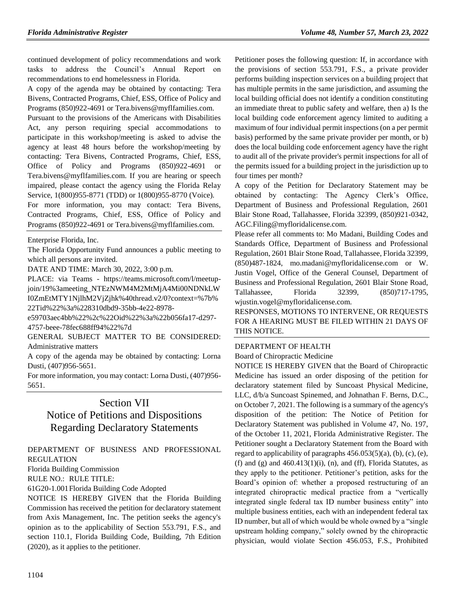continued development of policy recommendations and work tasks to address the Council's Annual Report on recommendations to end homelessness in Florida.

A copy of the agenda may be obtained by contacting: Tera Bivens, Contracted Programs, Chief, ESS, Office of Policy and Programs (850)922-4691 or Tera.bivens@myflfamilies.com.

Pursuant to the provisions of the Americans with Disabilities Act, any person requiring special accommodations to participate in this workshop/meeting is asked to advise the agency at least 48 hours before the workshop/meeting by contacting: Tera Bivens, Contracted Programs, Chief, ESS, Office of Policy and Programs (850)922-4691 or Tera.bivens@myflfamilies.com. If you are hearing or speech impaired, please contact the agency using the Florida Relay Service, 1(800)955-8771 (TDD) or 1(800)955-8770 (Voice).

For more information, you may contact: Tera Bivens, Contracted Programs, Chief, ESS, Office of Policy and Programs (850)922-4691 or Tera.bivens@myflfamilies.com.

[Enterprise Florida, Inc.](https://www.flrules.org/gateway/organization.asp?id=680)

The Florida Opportunity Fund announces a public meeting to which all persons are invited.

DATE AND TIME: March 30, 2022, 3:00 p.m.

PLACE: via Teams - https://teams.microsoft.com/l/meetupjoin/19%3ameeting\_NTEzNWM4M2MtMjA4Mi00NDNkLW I0ZmEtMTY1NjlhM2VjZjhk%40thread.v2/0?context=%7b% 22Tid%22%3a%228310dbd9-35bb-4e22-8978-

e59703aec4bb%22%2c%22Oid%22%3a%22b056fa17-d297-

4757-beee-78fec688ff94%22%7d

GENERAL SUBJECT MATTER TO BE CONSIDERED: Administrative matters

A copy of the agenda may be obtained by contacting: Lorna Dusti, (407)956-5651.

For more information, you may contact: Lorna Dusti, (407)956- 5651.

# Section VII

# Notice of Petitions and Dispositions Regarding Declaratory Statements

[DEPARTMENT OF BUSINESS AND PROFESSIONAL](https://www.flrules.org/gateway/department.asp?id=61)  [REGULATION](https://www.flrules.org/gateway/department.asp?id=61)

[Florida Building Commission](https://www.flrules.org/gateway/organization.asp?id=1071)

RULE NO.: RULE TITLE:

[61G20-1.001F](https://www.flrules.org/gateway/ruleNo.asp?id=61G20-1.001)lorida Building Code Adopted

NOTICE IS HEREBY GIVEN that the Florida Building Commission has received the petition for declaratory statement from Axis Management, Inc. The petition seeks the agency's opinion as to the applicability of Section 553.791, F.S., and section 110.1, Florida Building Code, Building, 7th Edition (2020), as it applies to the petitioner.

Petitioner poses the following question: If, in accordance with the provisions of section 553.791, F.S., a private provider performs building inspection services on a building project that has multiple permits in the same jurisdiction, and assuming the local building official does not identify a condition constituting an immediate threat to public safety and welfare, then a) Is the local building code enforcement agency limited to auditing a maximum of four individual permit inspections (on a per permit basis) performed by the same private provider per month, or b) does the local building code enforcement agency have the right to audit all of the private provider's permit inspections for all of the permits issued for a building project in the jurisdiction up to four times per month?

A copy of the Petition for Declaratory Statement may be obtained by contacting: The Agency Clerk's Office, Department of Business and Professional Regulation, 2601 Blair Stone Road, Tallahassee, Florida 32399, (850)921-0342, AGC.Filing@myfloridalicense.com.

Please refer all comments to: Mo Madani, Building Codes and Standards Office, Department of Business and Professional Regulation, 2601 Blair Stone Road, Tallahassee, Florida 32399, (850)487-1824, mo.madani@myfloridalicense.com or W. Justin Vogel, Office of the General Counsel, Department of Business and Professional Regulation, 2601 Blair Stone Road, Tallahassee, Florida 32399, (850)717-1795, wjustin.vogel@myfloridalicense.com.

RESPONSES, MOTIONS TO INTERVENE, OR REQUESTS FOR A HEARING MUST BE FILED WITHIN 21 DAYS OF THIS NOTICE.

#### [DEPARTMENT OF HEALTH](https://www.flrules.org/gateway/department.asp?id=64)

[Board of Chiropractic Medicine](https://www.flrules.org/gateway/organization.asp?id=311)

NOTICE IS HEREBY GIVEN that the Board of Chiropractic Medicine has issued an order disposing of the petition for declaratory statement filed by Suncoast Physical Medicine, LLC, d/b/a Suncoast Spinemed, and Johnathan F. Berns, D.C., on October 7, 2021. The following is a summary of the agency's disposition of the petition: The Notice of Petition for Declaratory Statement was published in Volume 47, No. 197, of the October 11, 2021, Florida Administrative Register. The Petitioner sought a Declaratory Statement from the Board with regard to applicability of paragraphs  $456.053(5)(a)$ , (b), (c), (e), (f) and (g) and  $460.413(1)(i)$ , (n), and (ff), Florida Statutes, as they apply to the petitioner. Petitioner's petition, asks for the Board's opinion of: whether a proposed restructuring of an integrated chiropractic medical practice from a "vertically integrated single federal tax ID number business entity" into multiple business entities, each with an independent federal tax ID number, but all of which would be whole owned by a "single upstream holding company," solely owned by the chiropractic physician, would violate Section 456.053, F.S., Prohibited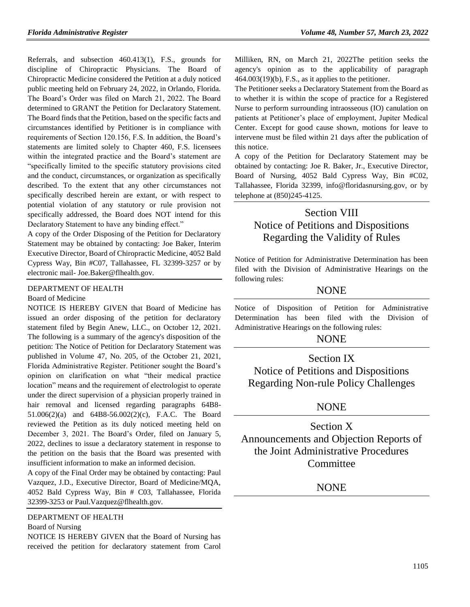Referrals, and subsection 460.413(1), F.S., grounds for discipline of Chiropractic Physicians. The Board of Chiropractic Medicine considered the Petition at a duly noticed public meeting held on February 24, 2022, in Orlando, Florida. The Board's Order was filed on March 21, 2022. The Board determined to GRANT the Petition for Declaratory Statement. The Board finds that the Petition, based on the specific facts and circumstances identified by Petitioner is in compliance with requirements of Section 120.156, F.S. In addition, the Board's statements are limited solely to Chapter 460, F.S. licensees within the integrated practice and the Board's statement are "specifically limited to the specific statutory provisions cited and the conduct, circumstances, or organization as specifically described. To the extent that any other circumstances not specifically described herein are extant, or with respect to potential violation of any statutory or rule provision not specifically addressed, the Board does NOT intend for this Declaratory Statement to have any binding effect."

A copy of the Order Disposing of the Petition for Declaratory Statement may be obtained by contacting: Joe Baker, Interim Executive Director, Board of Chiropractic Medicine, 4052 Bald Cypress Way, Bin #C07, Tallahassee, FL 32399-3257 or by electronic mail- Joe.Baker@flhealth.gov.

#### [DEPARTMENT OF HEALTH](https://www.flrules.org/gateway/department.asp?id=64)

#### [Board of Medicine](https://www.flrules.org/gateway/organization.asp?id=331)

NOTICE IS HEREBY GIVEN that Board of Medicine has issued an order disposing of the petition for declaratory statement filed by Begin Anew, LLC., on October 12, 2021. The following is a summary of the agency's disposition of the petition: The Notice of Petition for Declaratory Statement was published in Volume 47, No. 205, of the October 21, 2021, Florida Administrative Register. Petitioner sought the Board's opinion on clarification on what "their medical practice location" means and the requirement of electrologist to operate under the direct supervision of a physician properly trained in hair removal and licensed regarding paragraphs 64B8- 51.006(2)(a) and 64B8-56.002(2)(c), F.A.C. The Board reviewed the Petition as its duly noticed meeting held on December 3, 2021. The Board's Order, filed on January 5, 2022, declines to issue a declaratory statement in response to the petition on the basis that the Board was presented with insufficient information to make an informed decision.

A copy of the Final Order may be obtained by contacting: Paul Vazquez, J.D., Executive Director, Board of Medicine/MQA, 4052 Bald Cypress Way, Bin # C03, Tallahassee, Florida 32399-3253 or Paul.Vazquez@flhealth.gov.

[DEPARTMENT OF HEALTH](https://www.flrules.org/gateway/department.asp?id=64) [Board of Nursing](https://www.flrules.org/gateway/organization.asp?id=332)

NOTICE IS HEREBY GIVEN that the Board of Nursing has received the petition for declaratory statement from Carol Milliken, RN, on March 21, 2022The petition seeks the agency's opinion as to the applicability of paragraph  $464.003(19)(b)$ , F.S., as it applies to the petitioner.

The Petitioner seeks a Declaratory Statement from the Board as to whether it is within the scope of practice for a Registered Nurse to perform surrounding intraosseous (IO) canulation on patients at Petitioner's place of employment, Jupiter Medical Center. Except for good cause shown, motions for leave to intervene must be filed within 21 days after the publication of this notice.

A copy of the Petition for Declaratory Statement may be obtained by contacting: Joe R. Baker, Jr., Executive Director, Board of Nursing, 4052 Bald Cypress Way, Bin #C02, Tallahassee, Florida 32399, info@floridasnursing.gov, or by telephone at (850)245-4125.

# Section VIII Notice of Petitions and Dispositions Regarding the Validity of Rules

Notice of Petition for Administrative Determination has been filed with the Division of Administrative Hearings on the following rules:

# **NONE**

Notice of Disposition of Petition for Administrative Determination has been filed with the Division of Administrative Hearings on the following rules:

# NONE

Section IX Notice of Petitions and Dispositions Regarding Non-rule Policy Challenges

# **NONE**

Section X Announcements and Objection Reports of the Joint Administrative Procedures **Committee** 

# NONE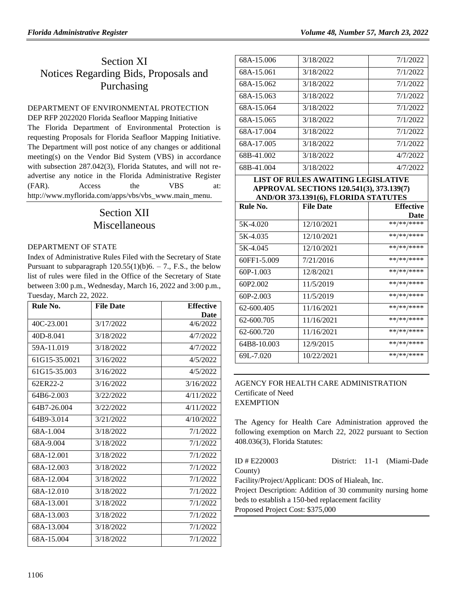# Section XI Notices Regarding Bids, Proposals and Purchasing

## [DEPARTMENT OF ENVIRONMENTAL PROTECTION](https://www.flrules.org/gateway/department.asp?id=62)

DEP RFP 2022020 Florida Seafloor Mapping Initiative The Florida Department of Environmental Protection is requesting Proposals for Florida Seafloor Mapping Initiative. The Department will post notice of any changes or additional meeting(s) on the Vendor Bid System (VBS) in accordance with subsection 287.042(3), Florida Statutes, and will not readvertise any notice in the Florida Administrative Register (FAR). Access the VBS at: [http://www.myflorida.com/apps/vbs/vbs\\_www.main\\_menu.](http://www.myflorida.com/apps/vbs/vbs_www.main_menu)

# Section XII Miscellaneous

#### [DEPARTMENT OF STATE](https://www.flrules.org/gateway/department.asp?id=1)

Index of Administrative Rules Filed with the Secretary of State Pursuant to subparagraph  $120.55(1)(b)6. - 7$ ., F.S., the below list of rules were filed in the Office of the Secretary of State between 3:00 p.m., Wednesday, March 16, 2022 and 3:00 p.m., Tuesday, March 22, 2022.

| .<br>Rule No. | <b>File Date</b> | <b>Effective</b> |
|---------------|------------------|------------------|
|               |                  | Date             |
| 40C-23.001    | 3/17/2022        | 4/6/2022         |
| 40D-8.041     | 3/18/2022        | 4/7/2022         |
| 59A-11.019    | 3/18/2022        | 4/7/2022         |
| 61G15-35.0021 | 3/16/2022        | 4/5/2022         |
| 61G15-35.003  | 3/16/2022        | 4/5/2022         |
| 62ER22-2      | 3/16/2022        | 3/16/2022        |
| 64B6-2.003    | 3/22/2022        | 4/11/2022        |
| 64B7-26.004   | 3/22/2022        | 4/11/2022        |
| 64B9-3.014    | 3/21/2022        | 4/10/2022        |
| 68A-1.004     | 3/18/2022        | 7/1/2022         |
| 68A-9.004     | 3/18/2022        | 7/1/2022         |
| 68A-12.001    | 3/18/2022        | 7/1/2022         |
| 68A-12.003    | 3/18/2022        | 7/1/2022         |
| 68A-12.004    | 3/18/2022        | 7/1/2022         |
| 68A-12.010    | 3/18/2022        | 7/1/2022         |
| 68A-13.001    | 3/18/2022        | 7/1/2022         |
| 68A-13.003    | 3/18/2022        | 7/1/2022         |
| 68A-13.004    | 3/18/2022        | 7/1/2022         |
| 68A-15.004    | 3/18/2022        | 7/1/2022         |

| 68A-15.006 | 3/18/2022 | 7/1/2022 |
|------------|-----------|----------|
| 68A-15.061 | 3/18/2022 | 7/1/2022 |
| 68A-15.062 | 3/18/2022 | 7/1/2022 |
| 68A-15.063 | 3/18/2022 | 7/1/2022 |
| 68A-15.064 | 3/18/2022 | 7/1/2022 |
| 68A-15.065 | 3/18/2022 | 7/1/2022 |
| 68A-17.004 | 3/18/2022 | 7/1/2022 |
| 68A-17.005 | 3/18/2022 | 7/1/2022 |
| 68B-41.002 | 3/18/2022 | 4/7/2022 |
| 68B-41.004 | 3/18/2022 | 4/7/2022 |

#### **LIST OF RULES AWAITING LEGISLATIVE APPROVAL SECTIONS 120.541(3), 373.139(7) AND/OR 373.1391(6), FLORIDA STATUTES**

| Rule No.    | <b>File Date</b> | <b>Effective</b> |
|-------------|------------------|------------------|
|             |                  | <b>Date</b>      |
| 5K-4.020    | 12/10/2021       | **/**/****       |
| 5K-4.035    | 12/10/2021       | **/**/****       |
| 5K-4.045    | 12/10/2021       | **/**/****       |
| 60FF1-5.009 | 7/21/2016        | **/**/****       |
| $60P-1.003$ | 12/8/2021        | **/**/****       |
| 60P2.002    | 11/5/2019        | **/**/****       |
| 60P-2.003   | 11/5/2019        | **/**/****       |
| 62-600.405  | 11/16/2021       | **/**/****       |
| 62-600.705  | 11/16/2021       | **/**/****       |
| 62-600.720  | 11/16/2021       | **/**/****       |
| 64B8-10.003 | 12/9/2015        | **/**/****       |
| 69L-7.020   | 10/22/2021       | **/**/****       |

## [AGENCY FOR HEALTH CARE ADMINISTRATION](https://www.flrules.org/gateway/department.asp?id=59) [Certificate of Need](https://www.flrules.org/gateway/organization.asp?id=188) EXEMPTION

The Agency for Health Care Administration approved the following exemption on March 22, 2022 pursuant to Section 408.036(3), Florida Statutes:

| ID # E220003                                               |  |  | District: 11-1 (Miami-Dade |  |
|------------------------------------------------------------|--|--|----------------------------|--|
| County)                                                    |  |  |                            |  |
| Facility/Project/Applicant: DOS of Hialeah, Inc.           |  |  |                            |  |
| Project Description: Addition of 30 community nursing home |  |  |                            |  |
| beds to establish a 150-bed replacement facility           |  |  |                            |  |
| Proposed Project Cost: \$375,000                           |  |  |                            |  |